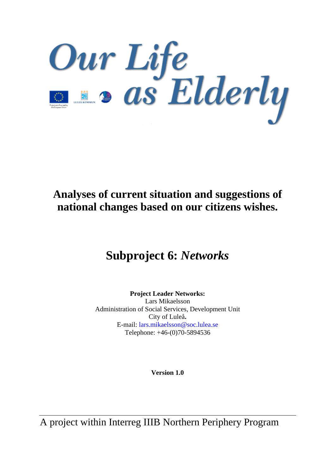Our Life<br>De os Elderly

# **Analyses of current situation and suggestions of national changes based on our citizens wishes.**

# **Subproject 6:** *Networks*

**Project Leader Networks:**  Lars Mikaelsson Administration of Social Services, Development Unit City of Luleå**.**  E-mail: lars.mikaelsson@soc.lulea.se Telephone: +46-(0)70-5894536

**Version 1.0** 

A project within Interreg IIIB Northern Periphery Program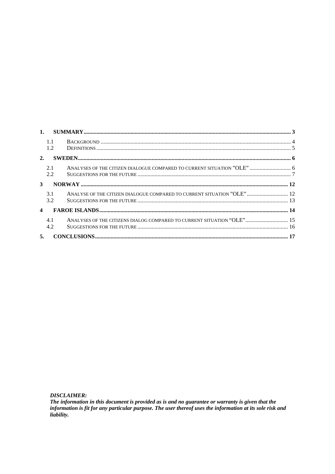|                         | 1.1        |                                                                         |  |
|-------------------------|------------|-------------------------------------------------------------------------|--|
|                         | 1.2        |                                                                         |  |
| 2.                      |            |                                                                         |  |
|                         | 2.1<br>2.2 | ANALYSES OF THE CITIZEN DIALOGUE COMPARED TO CURRENT SITUATION "OLE"  6 |  |
| 3                       |            |                                                                         |  |
|                         | 31         | ANALYSE OF THE CITIZEN DIALOGUE COMPARED TO CURRENT SITUATION "OLE"  12 |  |
|                         | 3.2        |                                                                         |  |
| $\overline{\mathbf{4}}$ |            |                                                                         |  |
|                         | 4.1        | ANALYSES OF THE CITIZENS DIALOG COMPARED TO CURRENT SITUATION "OLE" 15  |  |
|                         | 4.2        |                                                                         |  |
| 5.                      |            |                                                                         |  |

**DISCLAIMER:** 

The information in this document is provided as is and no guarantee or warranty is given that the information is fit for any particular purpose. The user thereof uses the information at its sole risk and liability.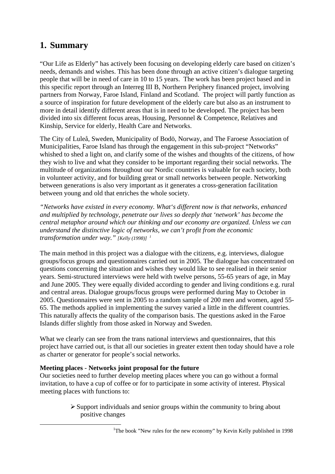# <span id="page-2-0"></span>**1. Summary**

"Our Life as Elderly" has actively been focusing on developing elderly care based on citizen's needs, demands and wishes. This has been done through an active citizen's dialogue targeting people that will be in need of care in 10 to 15 years. The work has been project based and in this specific report through an Interreg III B, Northern Periphery financed project, involving partners from Norway, Faroe Island, Finland and Scotland. The project will partly function as a source of inspiration for future development of the elderly care but also as an instrument to more in detail identify different areas that is in need to be developed. The project has been divided into six different focus areas, Housing, Personnel & Competence, Relatives and Kinship, Service for elderly, Health Care and Networks.

The City of Luleå, Sweden, Municipality of Bodö, Norway, and The Faroese Association of Municipalities, Faroe Island has through the engagement in this sub-project "Networks" whished to shed a light on, and clarify some of the wishes and thoughts of the citizens, of how they wish to live and what they consider to be important regarding their social networks. The multitude of organizations throughout our Nordic countries is valuable for each society, both in volunteer activity, and for building great or small networks between people. Networking between generations is also very important as it generates a cross-generation facilitation between young and old that enriches the whole society.

*"Networks have existed in every economy. What's different now is that networks, enhanced and multiplied by technology, penetrate our lives so deeply that 'network' has become the central metaphor around which our thinking and our economy are organized. Unless we can understand the distinctive logic of networks, we can't profit from the economic transformation under way." [Kelly (1998)] [1](#page-2-1)*

The main method in this project was a dialogue with the citizens, e.g. interviews, dialogue groups/focus groups and questionnaires carried out in 2005. The dialogue has concentrated on questions concerning the situation and wishes they would like to see realised in their senior years. Semi-structured interviews were held with twelve persons, 55-65 years of age, in May and June 2005. They were equally divided according to gender and living conditions e.g. rural and central areas. Dialogue groups/focus groups were performed during May to October in 2005. Questionnaires were sent in 2005 to a random sample of 200 men and women, aged 55- 65. The methods applied in implementing the survey varied a little in the different countries. This naturally affects the quality of the comparison basis. The questions asked in the Faroe Islands differ slightly from those asked in Norway and Sweden.

What we clearly can see from the trans national interviews and questionnaires, that this project have carried out, is that all our societies in greater extent then today should have a role as charter or generator for people's social networks.

## **Meeting places** - **Networks joint proposal for the future**

Our societies need to further develop meeting places where you can go without a formal invitation, to have a cup of coffee or for to participate in some activity of interest. Physical meeting places with functions to:

> <span id="page-2-1"></span> $\triangleright$  Support individuals and senior groups within the community to bring about positive changes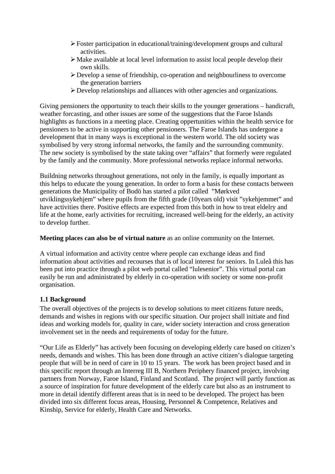- <span id="page-3-0"></span>¾ Foster participation in educational/training/development groups and cultural activities.
- $\triangleright$  Make available at local level information to assist local people develop their own skills.
- ¾ Develop a sense of friendship, co-operation and neighbourliness to overcome the generation barriers
- ¾ Develop relationships and alliances with other agencies and organizations.

Giving pensioners the opportunity to teach their skills to the younger generations – handicraft, weather forcasting, and other issues are some of the suggestions that the Faroe Islands highlights as functions in a meeting place. Creating oppertunities within the health service for pensioners to be active in supporting other pensioners. The Faroe Islands has undergone a development that in many ways is exceptional in the western world. The old society was symbolised by very strong informal networks, the family and the surrounding community. The new society is symbolised by the state taking over "affairs" that formerly were regulated by the family and the community. More professional networks replace informal networks.

Buildning networks throughout generations, not only in the family, is equally important as this helps to educate the young generation. In order to form a basis for these contacts between generations the Municipality of Bodö has started a pilot called "Mørkved utviklingssykehjem" where pupils from the fifth grade (10years old) visit "sykehjemmet" and have activities there. Positive effects are expected from this both in how to treat eldelry and life at the home, early activities for recruiting, increased well-being for the elderly, an activity to develop further.

**Meeting places can also be of virtual nature** as an online community on the Internet.

A virtual information and activity centre where people can exchange ideas and find information about activities and recourses that is of local interest for seniors. In Luleå this has been put into practice through a pilot web portal called "lulesenior". This virtual portal can easily be run and administrated by elderly in co-operation with society or some non-profit organisation.

## **1.1 Background**

The overall objectives of the projects is to develop solutions to meet citizens future needs, demands and wishes in regions with our specific situation. Our project shall initiate and find ideas and working models for, quality in care, wider society interaction and cross generation involvement set in the needs and requirements of today for the future.

"Our Life as Elderly" has actively been focusing on developing elderly care based on citizen's needs, demands and wishes. This has been done through an active citizen's dialogue targeting people that will be in need of care in 10 to 15 years. The work has been project based and in this specific report through an Interreg III B, Northern Periphery financed project, involving partners from Norway, Faroe Island, Finland and Scotland. The project will partly function as a source of inspiration for future development of the elderly care but also as an instrument to more in detail identify different areas that is in need to be developed. The project has been divided into six different focus areas, Housing, Personnel & Competence, Relatives and Kinship, Service for elderly, Health Care and Networks.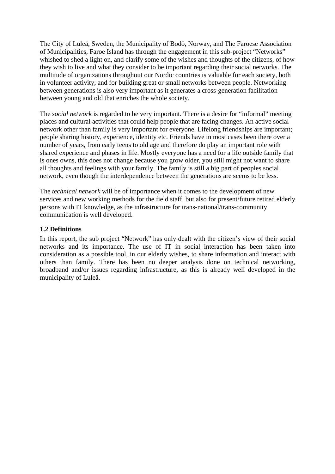<span id="page-4-0"></span>The City of Luleå, Sweden, the Municipality of Bodö, Norway, and The Faroese Association of Municipalities, Faroe Island has through the engagement in this sub-project "Networks" whished to shed a light on, and clarify some of the wishes and thoughts of the citizens, of how they wish to live and what they consider to be important regarding their social networks. The multitude of organizations throughout our Nordic countries is valuable for each society, both in volunteer activity, and for building great or small networks between people. Networking between generations is also very important as it generates a cross-generation facilitation between young and old that enriches the whole society.

The *social network* is regarded to be very important. There is a desire for "informal" meeting places and cultural activities that could help people that are facing changes. An active social network other than family is very important for everyone. Lifelong friendships are important; people sharing history, experience, identity etc. Friends have in most cases been there over a number of years, from early teens to old age and therefore do play an important role with shared experience and phases in life. Mostly everyone has a need for a life outside family that is ones owns, this does not change because you grow older, you still might not want to share all thoughts and feelings with your family. The family is still a big part of peoples social network, even though the interdependence between the generations are seems to be less.

The *technical network* will be of importance when it comes to the development of new services and new working methods for the field staff, but also for present/future retired elderly persons with IT knowledge, as the infrastructure for trans-national/trans-community communication is well developed.

#### **1.2 Definitions**

In this report, the sub project "Network" has only dealt with the citizen's view of their social networks and its importance. The use of IT in social interaction has been taken into consideration as a possible tool, in our elderly wishes, to share information and interact with others than family. There has been no deeper analysis done on technical networking, broadband and/or issues regarding infrastructure, as this is already well developed in the municipality of Luleå.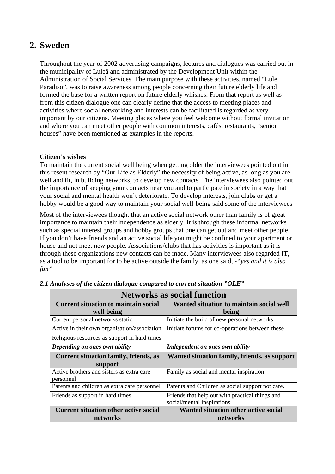# <span id="page-5-0"></span>**2. Sweden**

Throughout the year of 2002 advertising campaigns, lectures and dialogues was carried out in the municipality of Luleå and administrated by the Development Unit within the Administration of Social Services. The main purpose with these activities, named "Lule Paradiso", was to raise awareness among people concerning their future elderly life and formed the base for a written report on future elderly whishes. From that report as well as from this citizen dialogue one can clearly define that the access to meeting places and activities where social networking and interests can be facilitated is regarded as very important by our citizens. Meeting places where you feel welcome without formal invitation and where you can meet other people with common interests, cafés, restaurants, "senior houses" have been mentioned as examples in the reports.

## **Citizen's wishes**

To maintain the current social well being when getting older the interviewees pointed out in this resent research by "Our Life as Elderly" the necessity of being active, as long as you are well and fit, in building networks, to develop new contacts. The interviewees also pointed out the importance of keeping your contacts near you and to participate in society in a way that your social and mental health won't deteriorate. To develop interests, join clubs or get a hobby would be a good way to maintain your social well-being said some of the interviewees

Most of the interviewees thought that an active social network other than family is of great importance to maintain their independence as elderly. It is through these informal networks such as special interest groups and hobby groups that one can get out and meet other people. If you don't have friends and an active social life you might be confined to your apartment or house and not meet new people. Associations/clubs that has activities is important as it is through these organizations new contacts can be made. Many interviewees also regarded IT, as a tool to be important for to be active outside the family, as one said, *-"yes and it is also fun"*

| <b>Networks as social function</b>           |                                                  |  |
|----------------------------------------------|--------------------------------------------------|--|
| <b>Current situation to maintain social</b>  | Wanted situation to maintain social well         |  |
| well being                                   | being                                            |  |
| Current personal networks static             | Initiate the build of new personal networks      |  |
| Active in their own organisation/association | Initiate forums for co-operations between these  |  |
| Religious resources as support in hard times | $=$                                              |  |
| Depending on ones own ability                | Independent on ones own ability                  |  |
| <b>Current situation family, friends, as</b> | Wanted situation family, friends, as support     |  |
| support                                      |                                                  |  |
| Active brothers and sisters as extra care    | Family as social and mental inspiration          |  |
| personnel                                    |                                                  |  |
| Parents and children as extra care personnel | Parents and Children as social support not care. |  |
| Friends as support in hard times.            | Friends that help out with practical things and  |  |
|                                              | social/mental inspirations.                      |  |
| <b>Current situation other active social</b> | <b>Wanted situation other active social</b>      |  |
| networks                                     | networks                                         |  |

*2.1 Analyses of the citizen dialogue compared to current situation "OLE"*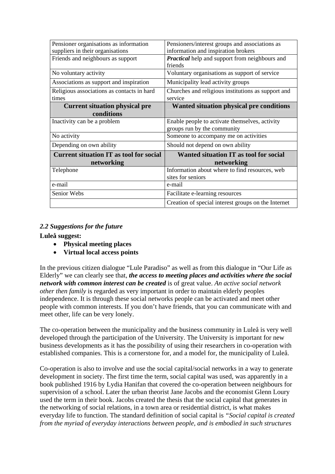<span id="page-6-0"></span>

| Pensioner organisations as information         | Pensioners/interest groups and associations as        |
|------------------------------------------------|-------------------------------------------------------|
| suppliers in their organisations               | information and inspiration brokers                   |
| Friends and neighbours as support              | <b>Practical</b> help and support from neighbours and |
|                                                | friends                                               |
| No voluntary activity                          | Voluntary organisations as support of service         |
| Associations as support and inspiration        | Municipality lead activity groups                     |
| Religious associations as contacts in hard     | Churches and religious institutions as support and    |
| times                                          | service                                               |
| <b>Current situation physical pre</b>          | <b>Wanted situation physical pre conditions</b>       |
| conditions                                     |                                                       |
| Inactivity can be a problem                    | Enable people to activate themselves, activity        |
|                                                | groups run by the community                           |
| No activity                                    | Someone to accompany me on activities                 |
| Depending on own ability                       | Should not depend on own ability                      |
| <b>Current situation IT as tool for social</b> | Wanted situation IT as tool for social                |
| networking                                     | networking                                            |
| Telephone                                      | Information about where to find resources, web        |
|                                                | sites for seniors                                     |
| e-mail                                         | e-mail                                                |
| Senior Webs                                    | Facilitate e-learning resources                       |
|                                                | Creation of special interest groups on the Internet   |

## *2.2 Suggestions for the future*

**Luleå suggest:** 

- **Physical meeting places**
- **Virtual local access points**

In the previous citizen dialogue "Lule Paradiso" as well as from this dialogue in "Our Life as Elderly" we can clearly see that, *the access to meeting places and activities where the social network with common interest can be created* is of great value. *An active social network other then family* is regarded as very important in order to maintain elderly peoples independence. It is through these social networks people can be activated and meet other people with common interests. If you don't have friends, that you can communicate with and meet other, life can be very lonely.

The co-operation between the municipality and the business community in Luleå is very well developed through the participation of the University. The University is important for new business developments as it has the possibility of using their researchers in co-operation with established companies. This is a cornerstone for, and a model for, the municipality of Luleå.

Co-operation is also to involve and use the social capital/social networks in a way to generate development in society. The first time the term, social capital was used, was apparently in a book published 1916 by Lydia Hanifan that covered the co-operation between neighbours for supervision of a school. Later the urban theorist Jane Jacobs and the economist Glenn Loury used the term in their book. Jacobs created the thesis that the social capital that generates in the networking of social relations, in a town area or residential district, is what makes everyday life to function. The standard definition of social capital is *"Social capital is created from the myriad of everyday interactions between people, and is embodied in such structures*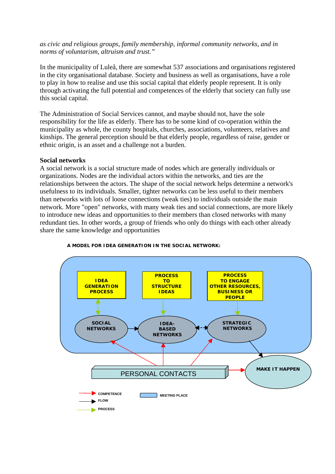#### *as civic and religious groups, family membership, informal community networks, and in norms of voluntarism, altruism and trust."*

In the municipality of Luleå, there are somewhat 537 associations and organisations registered in the city organisational database. Society and business as well as organisations, have a role to play in how to realise and use this social capital that elderly people represent. It is only through activating the full potential and competences of the elderly that society can fully use this social capital.

The Administration of Social Services cannot, and maybe should not, have the sole responsibility for the life as elderly. There has to be some kind of co-operation within the municipality as whole, the county hospitals, churches, associations, volunteers, relatives and kinships. The general perception should be that elderly people, regardless of raise, gender or ethnic origin, is an asset and a challenge not a burden.

#### **Social networks**

A social network is a social structure made of nodes which are generally individuals or organizations. Nodes are the individual actors within the networks, and ties are the relationships between the actors. The shape of the social network helps determine a network's usefulness to its individuals. Smaller, tighter networks can be less useful to their members than networks with lots of loose connections (weak ties) to individuals outside the main network. More "open" networks, with many weak ties and social connections, are more likely to introduce new ideas and opportunities to their members than closed networks with many redundant ties. In other words, a group of friends who only do things with each other already share the same knowledge and opportunities



#### **A MODEL FOR IDEA GENERATION IN THE SOCIAL NETWORK:**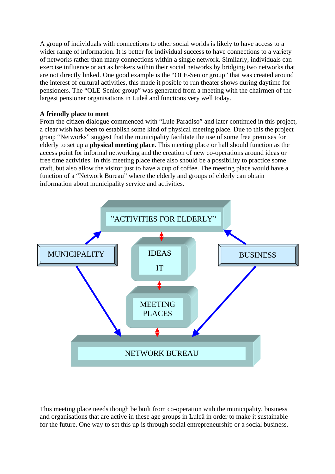[A gr](#page-2-1)oup of individuals with connections to other social worlds is likely to have access to a wider range of information. It is better for individual success to have connections to a variety of networks rather than many connections within a single network. Similarly, individuals can exercise influence or act as brokers within their social networks by bridging two networks that are not directly linked. One good example is the "OLE-Senior group" that was created around the interest of cultural activities, this made it posible to run theater shows during daytime for pensioners. The "OLE-Senior group" was generated from a meeting with the chairmen of the largest pensioner organisations in Luleå and functions very well today.

#### **A friendly place to meet**

From the citizen dialogue commenced with "Lule Paradiso" and later continued in this project, a clear wish has been to establish some kind of physical meeting place. Due to this the project group "Networks" suggest that the municipality facilitate the use of some free premises for elderly to set up a **physical meeting place**. This meeting place or hall should function as the access point for informal networking and the creation of new co-operations around ideas or free time activities. In this meeting place there also should be a possibility to practice some craft, but also allow the visitor just to have a cup of coffee. The meeting place would have a function of a "Network Bureau" where the elderly and groups of elderly can obtain information about municipality service and activities.



This meeting place needs though be built from co-operation with the municipality, business and organisations that are active in these age groups in Luleå in order to make it sustainable for the future. One way to set this up is through social entrepreneurship or a social business.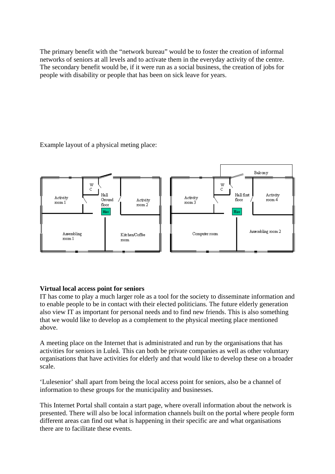The primary benefit with the "network bureau" would be to foster the creation of informal networks of seniors at all levels and to activate them in the everyday activity of the centre. The secondary benefit would be, if it were run as a social business, the creation of jobs for people with disability or people that has been on sick leave for years.

Example layout of a physical meting place:



# **Virtual local access point for seniors**

IT has come to play a much larger role as a tool for the society to disseminate information and to enable people to be in contact with their elected politicians. The future elderly generation also view IT as important for personal needs and to find new friends. This is also something that we would like to develop as a complement to the physical meeting place mentioned above.

A meeting place on the Internet that is administrated and run by the organisations that has activities for seniors in Luleå. This can both be private companies as well as other voluntary organisations that have activities for elderly and that would like to develop these on a broader scale.

'Lulesenior' shall apart from being the local access point for seniors, also be a channel of information to these groups for the municipality and businesses.

This Internet Portal shall contain a start page, where overall information about the network is presented. There will also be local information channels built on the portal where people form different areas can find out what is happening in their specific are and what organisations there are to facilitate these events.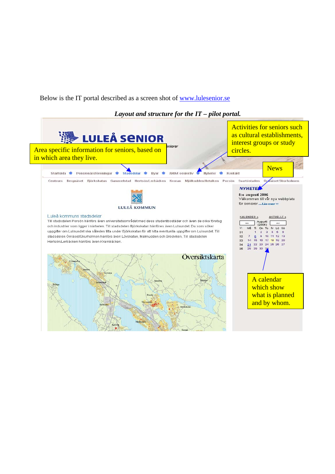Below is the IT portal described as a screen shot of [www.lulesenior.se](http://www.lulesenior.se/)

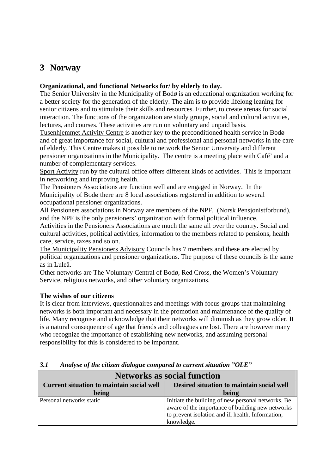# <span id="page-11-0"></span>**3 Norway**

## **Organizational, and functional Networks for/ by elderly to day.**

The Senior University in the Municipality of Bodø is an educational organization working for a better society for the generation of the elderly. The aim is to provide lifelong leaning for senior citizens and to stimulate their skills and resources. Further, to create arenas for social interaction. The functions of the organization are study groups, social and cultural activities, lectures, and courses. These activities are run on voluntary and unpaid basis.

Tusenhjemmet Activity Centre is another key to the preconditioned health service in Bodø and of great importance for social, cultural and professional and personal networks in the care of elderly. This Centre makes it possible to network the Senior University and different pensioner organizations in the Municipality. The centre is a meeting place with Café' and a number of complementary services.

Sport Activity run by the cultural office offers different kinds of activities. This is important in networking and improving health.

The Pensioners Associations are function well and are engaged in Norway. In the Municipality of Bodø there are 8 local associations registered in addition to several occupational pensioner organizations.

All Pensioners associations in Norway are members of the NPF, (Norsk Pensjonistforbund), and the NPF is the only pensioners' organization with formal political influence.

Activities in the Pensioners Associations are much the same all over the country. Social and cultural activities, political activities, information to the members related to pensions, health care, service, taxes and so on.

The Municipality Pensioners Advisory Councils has 7 members and these are elected by political organizations and pensioner organizations. The purpose of these councils is the same as in Luleå.

Other networks are The Voluntary Central of Bodø, Red Cross, the Women's Voluntary Service, religious networks, and other voluntary organizations.

## **The wishes of our citizens**

It is clear from interviews, questionnaires and meetings with focus groups that maintaining networks is both important and necessary in the promotion and maintenance of the quality of life. Many recognise and acknowledge that their networks will diminish as they grow older. It is a natural consequence of age that friends and colleagues are lost. There are however many who recognize the importance of establishing new networks, and assuming personal responsibility for this is considered to be important.

| <b>Networks as social function</b>               |                                                                                                                                                                           |  |
|--------------------------------------------------|---------------------------------------------------------------------------------------------------------------------------------------------------------------------------|--|
| <b>Current situation to maintain social well</b> | Desired situation to maintain social well                                                                                                                                 |  |
| being                                            | being                                                                                                                                                                     |  |
| Personal networks static                         | Initiate the building of new personal networks. Be<br>aware of the importance of building new networks<br>to prevent isolation and ill health. Information,<br>knowledge. |  |

## *3.1 Analyse of the citizen dialogue compared to current situation "OLE"*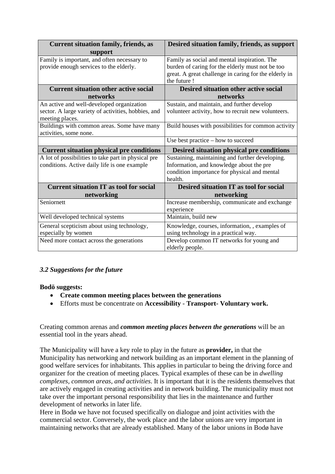<span id="page-12-0"></span>

| <b>Current situation family, friends, as</b>        | Desired situation family, friends, as support                         |
|-----------------------------------------------------|-----------------------------------------------------------------------|
| support                                             |                                                                       |
| Family is important, and often necessary to         | Family as social and mental inspiration. The                          |
| provide enough services to the elderly.             | burden of caring for the elderly must not be too                      |
|                                                     | great. A great challenge in caring for the elderly in<br>the future ! |
| <b>Current situation other active social</b>        | <b>Desired situation other active social</b>                          |
| networks                                            | networks                                                              |
| An active and well-developed organization           | Sustain, and maintain, and further develop                            |
| sector. A large variety of activities, hobbies, and | volunteer activity, how to recruit new volunteers.                    |
| meeting places.                                     |                                                                       |
| Buildings with common areas. Some have many         | Build houses with possibilities for common activity                   |
| activities, some none.                              |                                                                       |
|                                                     | Use best practice – how to succeed                                    |
| <b>Current situation physical pre conditions</b>    | <b>Desired situation physical pre conditions</b>                      |
| A lot of possibilities to take part in physical pre | Sustaining, maintaining and further developing.                       |
| conditions. Active daily life is one example        | Information, and knowledge about the pre                              |
|                                                     | condition importance for physical and mental                          |
|                                                     | health.                                                               |
| <b>Current situation IT as tool for social</b>      | Desired situation IT as tool for social                               |
| networking                                          | networking                                                            |
| Seniornett                                          | Increase membership, communicate and exchange                         |
|                                                     | experience                                                            |
| Well developed technical systems                    | Maintain, build new                                                   |
| General scepticism about using technology,          | Knowledge, courses, information, , examples of                        |
| especially by women                                 | using technology in a practical way.                                  |
| Need more contact across the generations            |                                                                       |
|                                                     | Develop common IT networks for young and                              |

# *3.2 Suggestions for the future*

#### **Bodö suggests:**

- **Create common meeting places between the generations**
- Efforts must be concentrate on **Accessibility** - **Transport- Voluntary work.**

Creating common arenas and *common meeting places between the generations* will be an essential tool in the years ahead.

The Municipality will have a key role to play in the future as **provider,** in that the Municipality has networking and network building as an important element in the planning of good welfare services for inhabitants. This applies in particular to being the driving force and organizer for the creation of meeting places. Typical examples of these can be in *dwelling complexes, common areas, and activities*. It is important that it is the residents themselves that are actively engaged in creating activities and in network building. The municipality must not take over the important personal responsibility that lies in the maintenance and further development of networks in later life.

Here in Bodø we have not focused specifically on dialogue and joint activities with the commercial sector. Conversely, the work place and the labor unions are very important in maintaining networks that are already established. Many of the labor unions in Bodø have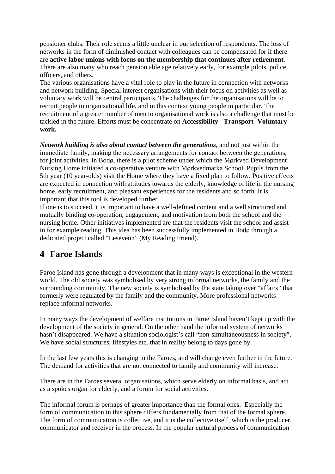<span id="page-13-0"></span>pensioner clubs. Their role seems a little unclear in our selection of respondents. The loss of networks in the form of diminished contact with colleagues can be compensated for if there are **active labor unions with focus on the membership that continues after retirement**. There are also many who reach pension able age relatively early, for example pilots, police officers, and others.

The various organisations have a vital role to play in the future in connection with networks and network building. Special interest organisations with their focus on activities as well as voluntary work will be central participants. The challenges for the organisations will be to recruit people to organisational life, and in this context young people in particular. The recruitment of a greater number of men to organisational work is also a challenge that must be tackled in the future. Efforts must be concentrate on **Accessibility** - **Transport- Voluntary work.**

*Network building is also about contact between the generations*, and not just within the immediate family, making the necessary arrangements for **c**ontact between the generations, for joint activities. In Bodø, there is a pilot scheme under which the Mørkved Development Nursing Home initiated a co-operative venture with Mørkvedmarka School. Pupils from the 5th year (10 year-olds) visit the Home where they have a fixed plan to follow. Positive effects are expected in connection with attitudes towards the elderly, knowledge of life in the nursing home, early recruitment, and pleasant experiences for the residents and so forth. It is important that this tool is developed further.

If one is to succeed, it is important to have a well-defined content and a well structured and mutually binding co-operation, engagement, and motivation from both the school and the nursing home. Other initiatives implemented are that the residents visit the school and assist in for example reading. This idea has been successfully implemented in Bodø through a dedicated project called "Lesevenn" (My Reading Friend).

# **4 Faroe Islands**

Faroe Island has gone through a development that in many ways is exceptional in the western world. The old society was symbolised by very strong informal networks, the family and the surrounding community. The new society is symbolised by the state taking over "affairs" that formerly were regulated by the family and the community. More professional networks replace informal networks.

In many ways the development of welfare institutions in Faroe Island haven't kept up with the development of the society in general. On the other hand the informal system of networks hasn't disappeared. We have a situation sociologist's call "non-simultaneousness in society". We have social structures, lifestyles etc. that in reality belong to days gone by.

In the last few years this is changing in the Faroes, and will change even further in the future. The demand for activities that are not connected to family and community will increase.

There are in the Faroes several organisations, which serve elderly on informal basis, and act as a spokes organ for elderly, and a forum for social activities.

The informal forum is perhaps of greater importance than the formal ones. Especially the form of communication in this sphere differs fundamentally from that of the formal sphere. The form of communication is collective, and it is the collective itself, which is the producer, communicator and receiver in the process. In the popular cultural process of communication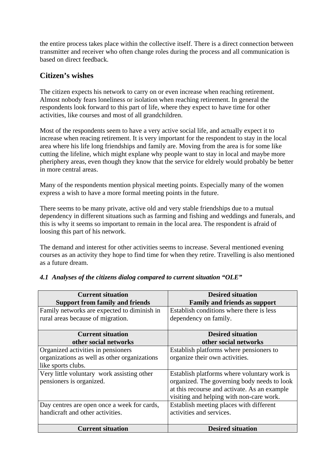<span id="page-14-0"></span>the entire process takes place within the collective itself. There is a direct connection between transmitter and receiver who often change roles during the process and all communication is based on direct feedback.

# **Citizen's wishes**

The citizen expects his network to carry on or even increase when reaching retirement. Almost nobody fears loneliness or isolation when reaching retirement. In general the respondents look forward to this part of life, where they expect to have time for other activities, like courses and most of all grandchildren.

Most of the respondents seem to have a very active social life, and actually expect it to increase when reacing retirement. It is very important for the respondent to stay in the local area where his life long friendships and family are. Moving from the area is for some like cutting the lifeline, which might explane why people want to stay in local and maybe more pheriphery areas, even though they know that the service for eldrely would probably be better in more central areas.

Many of the respondents mention physical meeting points. Especially many of the women express a wish to have a more formal meeting points in the future.

There seems to be many private, active old and very stable friendships due to a mutual dependency in different situations such as farming and fishing and weddings and funerals, and this is why it seems so important to remain in the local area. The respondent is afraid of loosing this part of his network.

The demand and interest for other activities seems to increase. Several mentioned evening courses as an activity they hope to find time for when they retire. Travelling is also mentioned as a future dream.

| <b>Current situation</b>                     | <b>Desired situation</b>                     |
|----------------------------------------------|----------------------------------------------|
| <b>Support from family and friends</b>       | <b>Family and friends as support</b>         |
| Family networks are expected to diminish in  | Establish conditions where there is less     |
| rural areas because of migration.            | dependency on family.                        |
|                                              |                                              |
| <b>Current situation</b>                     | <b>Desired situation</b>                     |
| other social networks                        | other social networks                        |
| Organized activities in pensioners           | Establish platforms where pensioners to      |
| organizations as well as other organizations | organize their own activities.               |
| like sports clubs.                           |                                              |
| Very little voluntary work assisting other   | Establish platforms where voluntary work is  |
| pensioners is organized.                     | organized. The governing body needs to look  |
|                                              | at this recourse and activate. As an example |
|                                              | visiting and helping with non-care work.     |
| Day centres are open once a week for cards,  | Establish meeting places with different      |
| handicraft and other activities.             | activities and services.                     |
|                                              |                                              |
| <b>Current situation</b>                     | <b>Desired situation</b>                     |

## *4.1 Analyses of the citizens dialog compared to current situation "OLE"*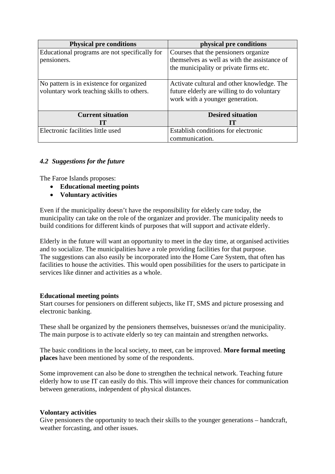<span id="page-15-0"></span>

| <b>Physical pre conditions</b>                | physical pre conditions                      |
|-----------------------------------------------|----------------------------------------------|
| Educational programs are not specifically for | Courses that the pensioners organize         |
| pensioners.                                   | themselves as well as with the assistance of |
|                                               | the municipality or private firms etc.       |
|                                               |                                              |
| No pattern is in existence for organized      | Activate cultural and other knowledge. The   |
| voluntary work teaching skills to others.     | future elderly are willing to do voluntary   |
|                                               | work with a younger generation.              |
|                                               |                                              |
| <b>Current situation</b>                      | <b>Desired situation</b>                     |
| TT                                            | Ш                                            |
| Electronic facilities little used             | Establish conditions for electronic          |
|                                               | communication.                               |

## *4.2 Suggestions for the future*

The Faroe Islands proposes:

- **Educational meeting points**
- **Voluntary activities**

Even if the municipality doesn't have the responsibility for elderly care today, the municipality can take on the role of the organizer and provider. The municipality needs to build conditions for different kinds of purposes that will support and activate elderly.

Elderly in the future will want an opportunity to meet in the day time, at organised activities and to socialize. The municipalities have a role providing facilities for that purpose. The suggestions can also easily be incorporated into the Home Care System, that often has facilities to house the activities. This would open possibilities for the users to participate in services like dinner and activities as a whole.

## **Educational meeting points**

Start courses for pensioners on different subjects, like IT, SMS and picture prosessing and electronic banking.

These shall be organized by the pensioners themselves, buisnesses or/and the municipality. The main purpose is to activate elderly so tey can maintain and strengthen networks.

The basic conditions in the local society, to meet, can be improved. **More formal meeting places** have been mentioned by some of the respondents.

Some improvement can also be done to strengthen the technical network. Teaching future elderly how to use IT can easily do this. This will improve their chances for communication between generations, independent of physical distances.

#### **Volontary activities**

Give pensioners the opportunity to teach their skills to the younger generations – handcraft, weather forcasting, and other issues.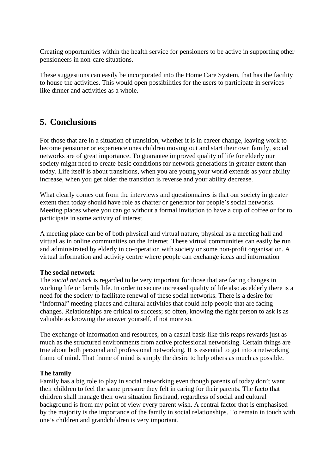<span id="page-16-0"></span>Creating opportunities within the health service for pensioners to be active in supporting other pensioneers in non-care situations.

These suggestions can easily be incorporated into the Home Care System, that has the facility to house the activities. This would open possibilities for the users to participate in services like dinner and activities as a whole.

# **5. Conclusions**

For those that are in a situation of transition, whether it is in career change, leaving work to become pensioner or experience ones children moving out and start their own family, social networks are of great importance. To guarantee improved quality of life for elderly our society might need to create basic conditions for network generations in greater extent than today. Life itself is about transitions, when you are young your world extends as your ability increase, when you get older the transition is reverse and your ability decrease.

What clearly comes out from the interviews and questionnaires is that our society in greater extent then today should have role as charter or generator for people's social networks. Meeting places where you can go without a formal invitation to have a cup of coffee or for to participate in some activity of interest.

A meeting place can be of both physical and virtual nature, physical as a meeting hall and virtual as in online communities on the Internet. These virtual communities can easily be run and administrated by elderly in co-operation with society or some non-profit organisation. A virtual information and activity centre where people can exchange ideas and information

#### **The social network**

The *social network* is regarded to be very important for those that are facing changes in working life or family life. In order to secure increased quality of life also as elderly there is a need for the society to facilitate renewal of these social networks. There is a desire for "informal" meeting places and cultural activities that could help people that are facing changes. Relationships are critical to success; so often, knowing the right person to ask is as valuable as knowing the answer yourself, if not more so.

The exchange of information and resources, on a casual basis like this reaps rewards just as much as the structured environments from active professional networking. Certain things are true about both personal and professional networking. It is essential to get into a networking frame of mind. That frame of mind is simply the desire to help others as much as possible.

## **The family**

Family has a big role to play in social networking even though parents of today don't want their children to feel the same pressure they felt in caring for their parents. The facto that children shall manage their own situation firsthand, regardless of social and cultural background is from my point of view every parent wish. A central factor that is emphasised by the majority is the importance of the family in social relationships. To remain in touch with one's children and grandchildren is very important.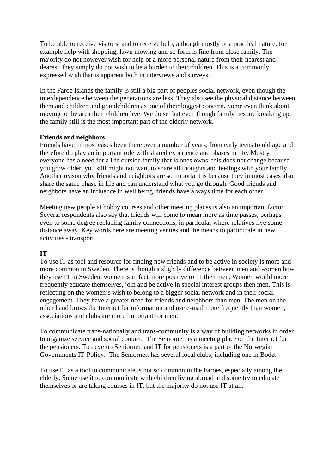To be able to receive visitors, and to receive help, although mostly of a practical nature, for example help with shopping, lawn mowing and so forth is fine from close family. The majority do not however wish for help of a more personal nature from their nearest and dearest, they simply do not wish to be a burden to their children. This is a commonly expressed wish that is apparent both in interviews and surveys.

In the Faroe Islands the family is still a big part of peoples social network, even though the interdependence between the generations are less. They also see the physical distance between them and children and grandchildren as one of their biggest concern. Some even think about moving to the area their children live. We do se that even though family ties are breaking up, the family still is the most important part of the elderly network.

#### **Friends and neighbors**

Friends have in most cases been there over a number of years, from early teens to old age and therefore do play an important role with shared experience and phases in life. Mostly everyone has a need for a life outside family that is ones owns, this does not change because you grow older, you still might not want to share all thoughts and feelings with your family. Another reason why friends and neighbors are so important is because they in most cases also share the same phase in life and can understand what you go through. Good friends and neighbors have an influence in well being, friends have always time for each other.

Meeting new people at hobby courses and other meeting places is also an important factor. Several respondents also say that friends will come to mean more as time passes, perhaps even to some degree replacing family connections, in particular where relatives live some distance away. Key words here are meeting venues and the means to participate in new activities - transport.

## **IT**

To use IT as tool and resource for finding new friends and to be active in society is more and more common in Sweden. There is though a slightly difference between men and women how they use IT in Sweden, women is in fact more positive to IT then men. Women would more frequently educate themselves, join and be active in special interest groups then men. This is reflecting on the women's wish to belong to a bigger social network and in their social engagement. They have a greater need for friends and neighbors than men. The men on the other hand brows the Internet for information and use e-mail more frequently than women, associations and clubs are more important for men.

To communicate trans-nationally and trans-community is a way of building networks in order to organize service and social contact. The Seniornett is a meeting place on the Internet for the pensioners. To develop Seniornett and IT for pensioners is a part of the Norwegian Governments IT-Policy. The Seniornett has several local clubs, including one in Bodø.

To use IT as a tool to communicate is not so common in the Faroes, especially among the elderly. Some use it to communicate with children living abroad and some try to educate themselves or are taking courses in IT, but the majority do not use IT at all.